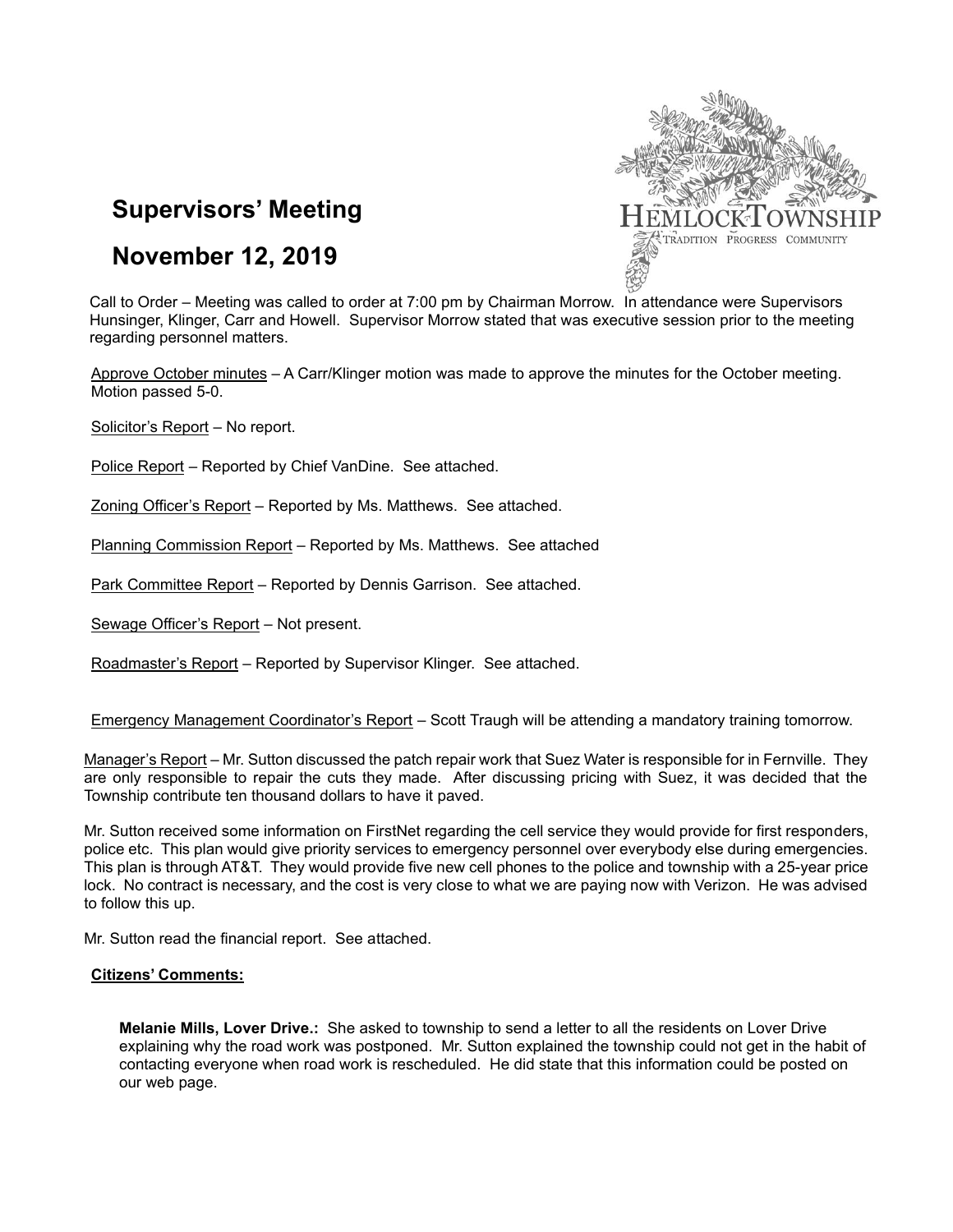

# **Supervisors' Meeting**

# **November 12, 2019**

Call to Order – Meeting was called to order at 7:00 pm by Chairman Morrow. In attendance were Supervisors Hunsinger, Klinger, Carr and Howell. Supervisor Morrow stated that was executive session prior to the meeting regarding personnel matters.

Approve October minutes – A Carr/Klinger motion was made to approve the minutes for the October meeting. Motion passed 5-0.

Solicitor's Report – No report.

Police Report – Reported by Chief VanDine. See attached.

Zoning Officer's Report – Reported by Ms. Matthews. See attached.

Planning Commission Report – Reported by Ms. Matthews. See attached

Park Committee Report – Reported by Dennis Garrison. See attached.

Sewage Officer's Report – Not present.

Roadmaster's Report – Reported by Supervisor Klinger. See attached.

Emergency Management Coordinator's Report – Scott Traugh will be attending a mandatory training tomorrow.

Manager's Report – Mr. Sutton discussed the patch repair work that Suez Water is responsible for in Fernville. They are only responsible to repair the cuts they made. After discussing pricing with Suez, it was decided that the Township contribute ten thousand dollars to have it paved.

Mr. Sutton received some information on FirstNet regarding the cell service they would provide for first responders, police etc. This plan would give priority services to emergency personnel over everybody else during emergencies. This plan is through AT&T. They would provide five new cell phones to the police and township with a 25-year price lock. No contract is necessary, and the cost is very close to what we are paying now with Verizon. He was advised to follow this up.

Mr. Sutton read the financial report. See attached.

#### **Citizens' Comments:**

**Melanie Mills, Lover Drive.:** She asked to township to send a letter to all the residents on Lover Drive explaining why the road work was postponed. Mr. Sutton explained the township could not get in the habit of contacting everyone when road work is rescheduled. He did state that this information could be posted on our web page.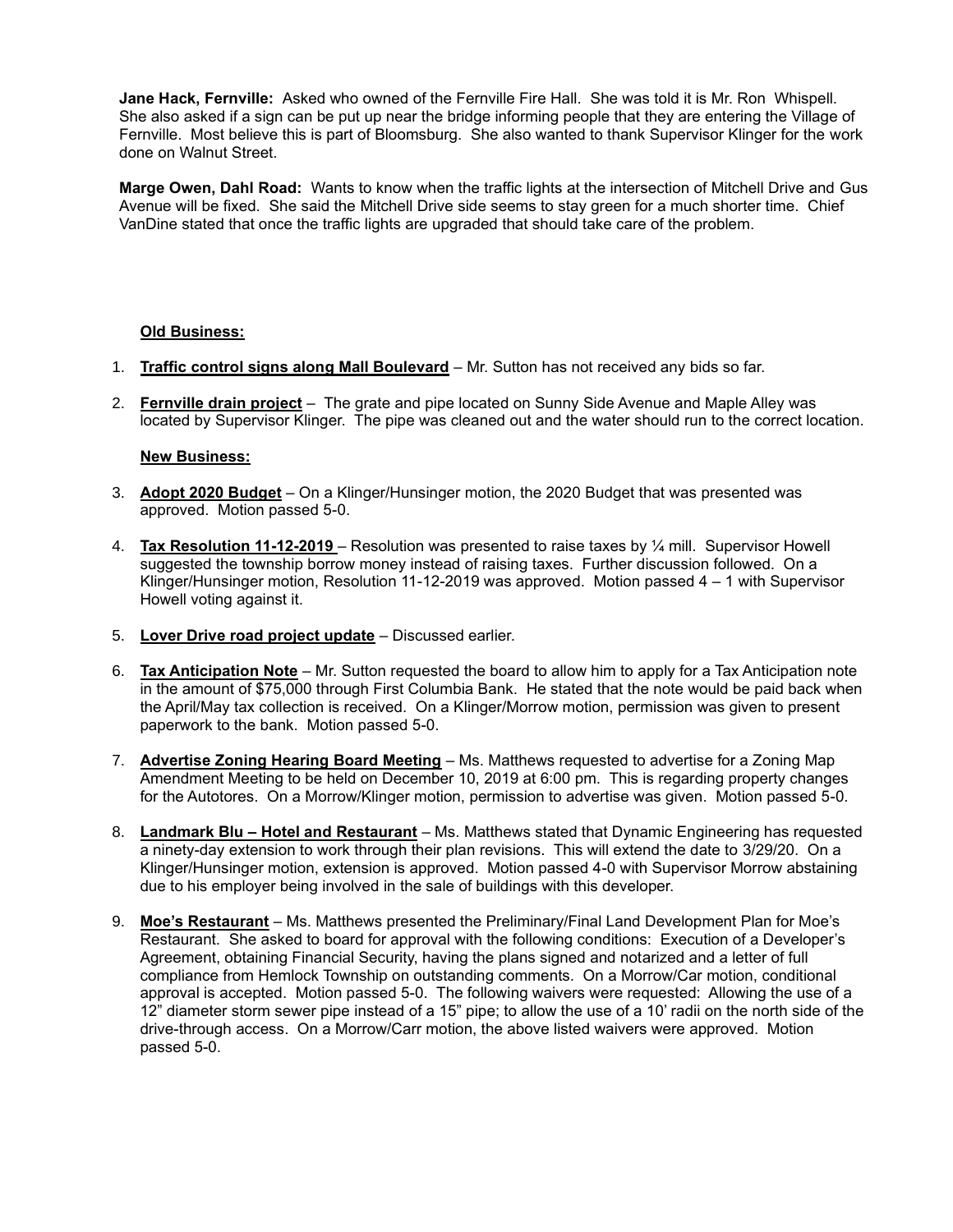**Jane Hack, Fernville:** Asked who owned of the Fernville Fire Hall. She was told it is Mr. Ron Whispell. She also asked if a sign can be put up near the bridge informing people that they are entering the Village of Fernville. Most believe this is part of Bloomsburg. She also wanted to thank Supervisor Klinger for the work done on Walnut Street.

**Marge Owen, Dahl Road:** Wants to know when the traffic lights at the intersection of Mitchell Drive and Gus Avenue will be fixed. She said the Mitchell Drive side seems to stay green for a much shorter time. Chief VanDine stated that once the traffic lights are upgraded that should take care of the problem.

## **Old Business:**

- 1. **Traffic control signs along Mall Boulevard** Mr. Sutton has not received any bids so far.
- 2. **Fernville drain project** The grate and pipe located on Sunny Side Avenue and Maple Alley was located by Supervisor Klinger. The pipe was cleaned out and the water should run to the correct location.

## **New Business:**

- 3. **Adopt 2020 Budget** On a Klinger/Hunsinger motion, the 2020 Budget that was presented was approved. Motion passed 5-0.
- 4. **Tax Resolution 11-12-2019** Resolution was presented to raise taxes by ¼ mill. Supervisor Howell suggested the township borrow money instead of raising taxes. Further discussion followed. On a Klinger/Hunsinger motion, Resolution 11-12-2019 was approved. Motion passed 4 – 1 with Supervisor Howell voting against it.
- 5. **Lover Drive road project update** Discussed earlier.
- 6. **Tax Anticipation Note** Mr. Sutton requested the board to allow him to apply for a Tax Anticipation note in the amount of \$75,000 through First Columbia Bank. He stated that the note would be paid back when the April/May tax collection is received. On a Klinger/Morrow motion, permission was given to present paperwork to the bank. Motion passed 5-0.
- 7. **Advertise Zoning Hearing Board Meeting** Ms. Matthews requested to advertise for a Zoning Map Amendment Meeting to be held on December 10, 2019 at 6:00 pm. This is regarding property changes for the Autotores. On a Morrow/Klinger motion, permission to advertise was given. Motion passed 5-0.
- 8. **Landmark Blu – Hotel and Restaurant** Ms. Matthews stated that Dynamic Engineering has requested a ninety-day extension to work through their plan revisions. This will extend the date to 3/29/20. On a Klinger/Hunsinger motion, extension is approved. Motion passed 4-0 with Supervisor Morrow abstaining due to his employer being involved in the sale of buildings with this developer.
- 9. **Moe's Restaurant** Ms. Matthews presented the Preliminary/Final Land Development Plan for Moe's Restaurant. She asked to board for approval with the following conditions: Execution of a Developer's Agreement, obtaining Financial Security, having the plans signed and notarized and a letter of full compliance from Hemlock Township on outstanding comments. On a Morrow/Car motion, conditional approval is accepted. Motion passed 5-0. The following waivers were requested: Allowing the use of a 12" diameter storm sewer pipe instead of a 15" pipe; to allow the use of a 10' radii on the north side of the drive-through access. On a Morrow/Carr motion, the above listed waivers were approved. Motion passed 5-0.